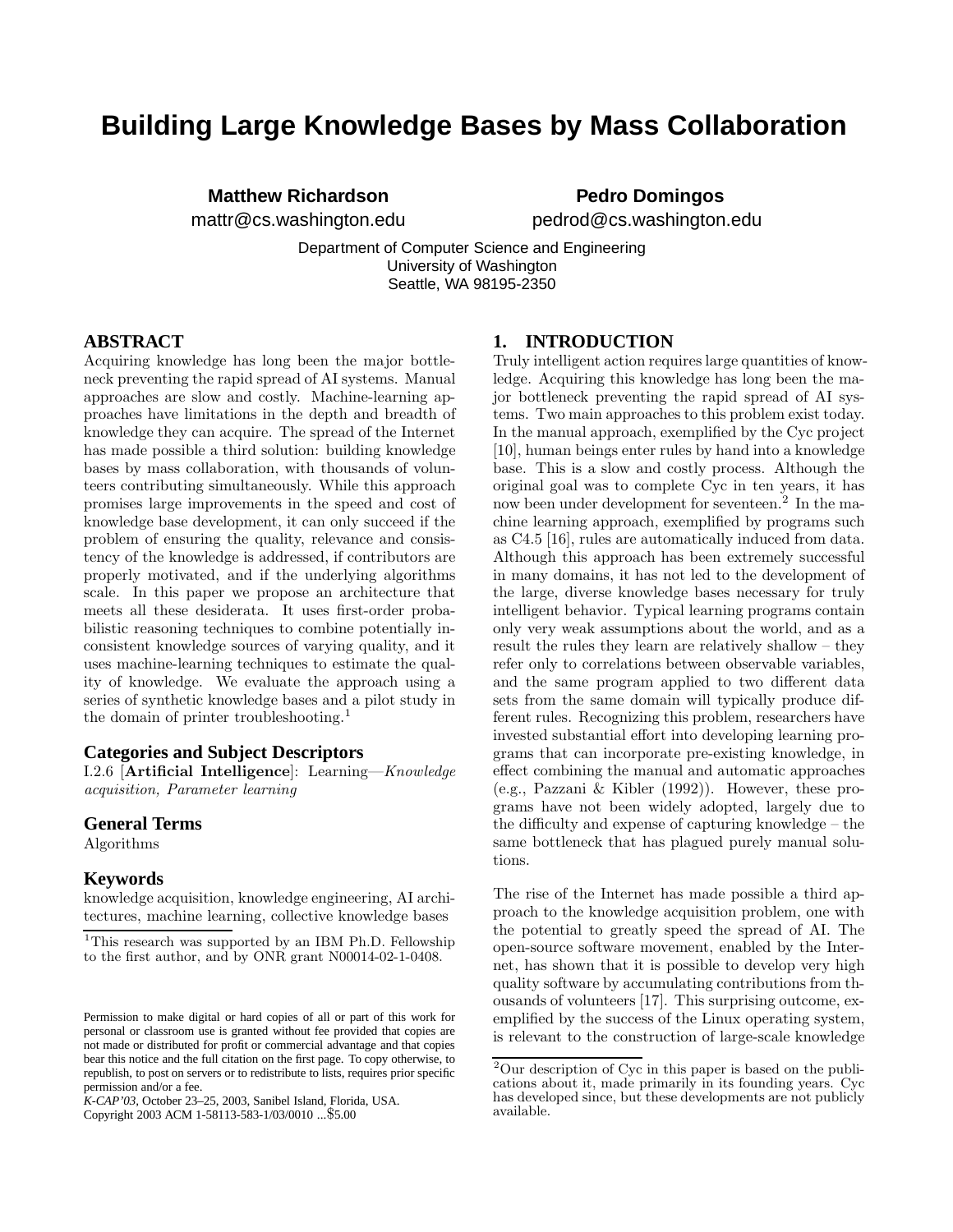# **Building Large Knowledge Bases by Mass Collaboration**

**Matthew Richardson** mattr@cs.washington.edu **Pedro Domingos**

pedrod@cs.washington.edu

Department of Computer Science and Engineering University of Washington Seattle, WA 98195-2350

## **ABSTRACT**

Acquiring knowledge has long been the major bottleneck preventing the rapid spread of AI systems. Manual approaches are slow and costly. Machine-learning approaches have limitations in the depth and breadth of knowledge they can acquire. The spread of the Internet has made possible a third solution: building knowledge bases by mass collaboration, with thousands of volunteers contributing simultaneously. While this approach promises large improvements in the speed and cost of knowledge base development, it can only succeed if the problem of ensuring the quality, relevance and consistency of the knowledge is addressed, if contributors are properly motivated, and if the underlying algorithms scale. In this paper we propose an architecture that meets all these desiderata. It uses first-order probabilistic reasoning techniques to combine potentially inconsistent knowledge sources of varying quality, and it uses machine-learning techniques to estimate the quality of knowledge. We evaluate the approach using a series of synthetic knowledge bases and a pilot study in the domain of printer troubleshooting.<sup>1</sup>

#### **Categories and Subject Descriptors**

I.2.6 [Artificial Intelligence]: Learning—Knowledge acquisition, Parameter learning

#### **General Terms**

Algorithms

#### **Keywords**

knowledge acquisition, knowledge engineering, AI architectures, machine learning, collective knowledge bases

Copyright 2003 ACM 1-58113-583-1/03/0010 ...\$5.00

#### **1. INTRODUCTION**

Truly intelligent action requires large quantities of knowledge. Acquiring this knowledge has long been the major bottleneck preventing the rapid spread of AI systems. Two main approaches to this problem exist today. In the manual approach, exemplified by the Cyc project [10], human beings enter rules by hand into a knowledge base. This is a slow and costly process. Although the original goal was to complete Cyc in ten years, it has now been under development for seventeen.<sup>2</sup> In the machine learning approach, exemplified by programs such as C4.5 [16], rules are automatically induced from data. Although this approach has been extremely successful in many domains, it has not led to the development of the large, diverse knowledge bases necessary for truly intelligent behavior. Typical learning programs contain only very weak assumptions about the world, and as a result the rules they learn are relatively shallow – they refer only to correlations between observable variables, and the same program applied to two different data sets from the same domain will typically produce different rules. Recognizing this problem, researchers have invested substantial effort into developing learning programs that can incorporate pre-existing knowledge, in effect combining the manual and automatic approaches (e.g., Pazzani & Kibler (1992)). However, these programs have not been widely adopted, largely due to the difficulty and expense of capturing knowledge – the same bottleneck that has plagued purely manual solutions.

The rise of the Internet has made possible a third approach to the knowledge acquisition problem, one with the potential to greatly speed the spread of AI. The open-source software movement, enabled by the Internet, has shown that it is possible to develop very high quality software by accumulating contributions from thousands of volunteers [17]. This surprising outcome, exemplified by the success of the Linux operating system, is relevant to the construction of large-scale knowledge

<sup>&</sup>lt;sup>1</sup>This research was supported by an IBM Ph.D. Fellowship to the first author, and by ONR grant N00014-02-1-0408.

Permission to make digital or hard copies of all or part of this work for personal or classroom use is granted without fee provided that copies are not made or distributed for profit or commercial advantage and that copies bear this notice and the full citation on the first page. To copy otherwise, to republish, to post on servers or to redistribute to lists, requires prior specific permission and/or a fee.

*K-CAP'03,* October 23–25, 2003, Sanibel Island, Florida, USA.

<sup>2</sup>Our description of Cyc in this paper is based on the publications about it, made primarily in its founding years. Cyc has developed since, but these developments are not publicly available.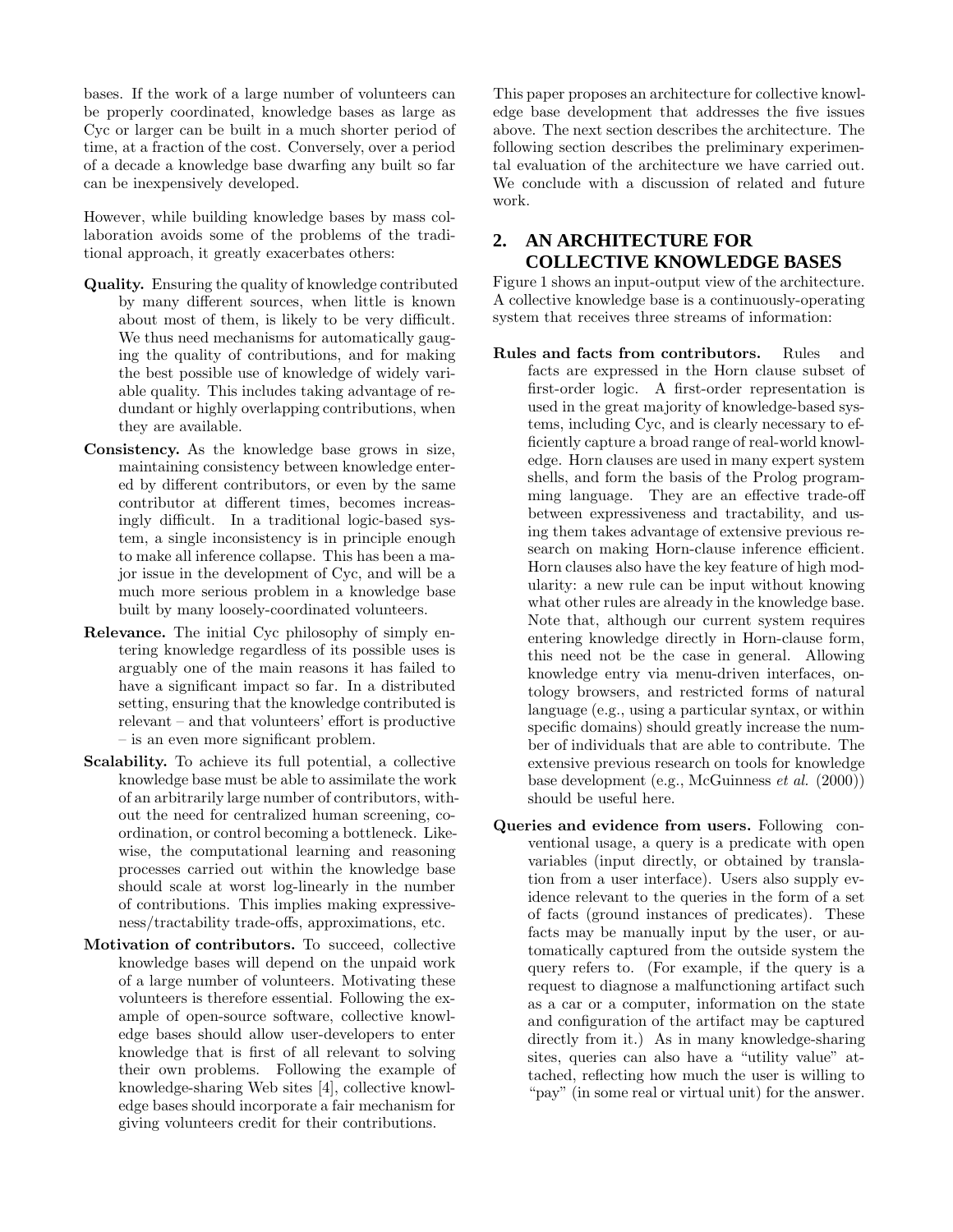bases. If the work of a large number of volunteers can be properly coordinated, knowledge bases as large as Cyc or larger can be built in a much shorter period of time, at a fraction of the cost. Conversely, over a period of a decade a knowledge base dwarfing any built so far can be inexpensively developed.

However, while building knowledge bases by mass collaboration avoids some of the problems of the traditional approach, it greatly exacerbates others:

- Quality. Ensuring the quality of knowledge contributed by many different sources, when little is known about most of them, is likely to be very difficult. We thus need mechanisms for automatically gauging the quality of contributions, and for making the best possible use of knowledge of widely variable quality. This includes taking advantage of redundant or highly overlapping contributions, when they are available.
- Consistency. As the knowledge base grows in size, maintaining consistency between knowledge entered by different contributors, or even by the same contributor at different times, becomes increasingly difficult. In a traditional logic-based system, a single inconsistency is in principle enough to make all inference collapse. This has been a major issue in the development of Cyc, and will be a much more serious problem in a knowledge base built by many loosely-coordinated volunteers.
- Relevance. The initial Cyc philosophy of simply entering knowledge regardless of its possible uses is arguably one of the main reasons it has failed to have a significant impact so far. In a distributed setting, ensuring that the knowledge contributed is relevant – and that volunteers' effort is productive – is an even more significant problem.
- Scalability. To achieve its full potential, a collective knowledge base must be able to assimilate the work of an arbitrarily large number of contributors, without the need for centralized human screening, coordination, or control becoming a bottleneck. Likewise, the computational learning and reasoning processes carried out within the knowledge base should scale at worst log-linearly in the number of contributions. This implies making expressiveness/tractability trade-offs, approximations, etc.
- Motivation of contributors. To succeed, collective knowledge bases will depend on the unpaid work of a large number of volunteers. Motivating these volunteers is therefore essential. Following the example of open-source software, collective knowledge bases should allow user-developers to enter knowledge that is first of all relevant to solving their own problems. Following the example of knowledge-sharing Web sites [4], collective knowledge bases should incorporate a fair mechanism for giving volunteers credit for their contributions.

This paper proposes an architecture for collective knowledge base development that addresses the five issues above. The next section describes the architecture. The following section describes the preliminary experimental evaluation of the architecture we have carried out. We conclude with a discussion of related and future work.

# **2. AN ARCHITECTURE FOR COLLECTIVE KNOWLEDGE BASES**

Figure 1 shows an input-output view of the architecture. A collective knowledge base is a continuously-operating system that receives three streams of information:

- Rules and facts from contributors. Rules and facts are expressed in the Horn clause subset of first-order logic. A first-order representation is used in the great majority of knowledge-based systems, including Cyc, and is clearly necessary to efficiently capture a broad range of real-world knowledge. Horn clauses are used in many expert system shells, and form the basis of the Prolog programming language. They are an effective trade-off between expressiveness and tractability, and using them takes advantage of extensive previous research on making Horn-clause inference efficient. Horn clauses also have the key feature of high modularity: a new rule can be input without knowing what other rules are already in the knowledge base. Note that, although our current system requires entering knowledge directly in Horn-clause form, this need not be the case in general. Allowing knowledge entry via menu-driven interfaces, ontology browsers, and restricted forms of natural language (e.g., using a particular syntax, or within specific domains) should greatly increase the number of individuals that are able to contribute. The extensive previous research on tools for knowledge base development (e.g., McGuinness et al. (2000)) should be useful here.
- Queries and evidence from users. Following conventional usage, a query is a predicate with open variables (input directly, or obtained by translation from a user interface). Users also supply evidence relevant to the queries in the form of a set of facts (ground instances of predicates). These facts may be manually input by the user, or automatically captured from the outside system the query refers to. (For example, if the query is a request to diagnose a malfunctioning artifact such as a car or a computer, information on the state and configuration of the artifact may be captured directly from it.) As in many knowledge-sharing sites, queries can also have a "utility value" attached, reflecting how much the user is willing to "pay" (in some real or virtual unit) for the answer.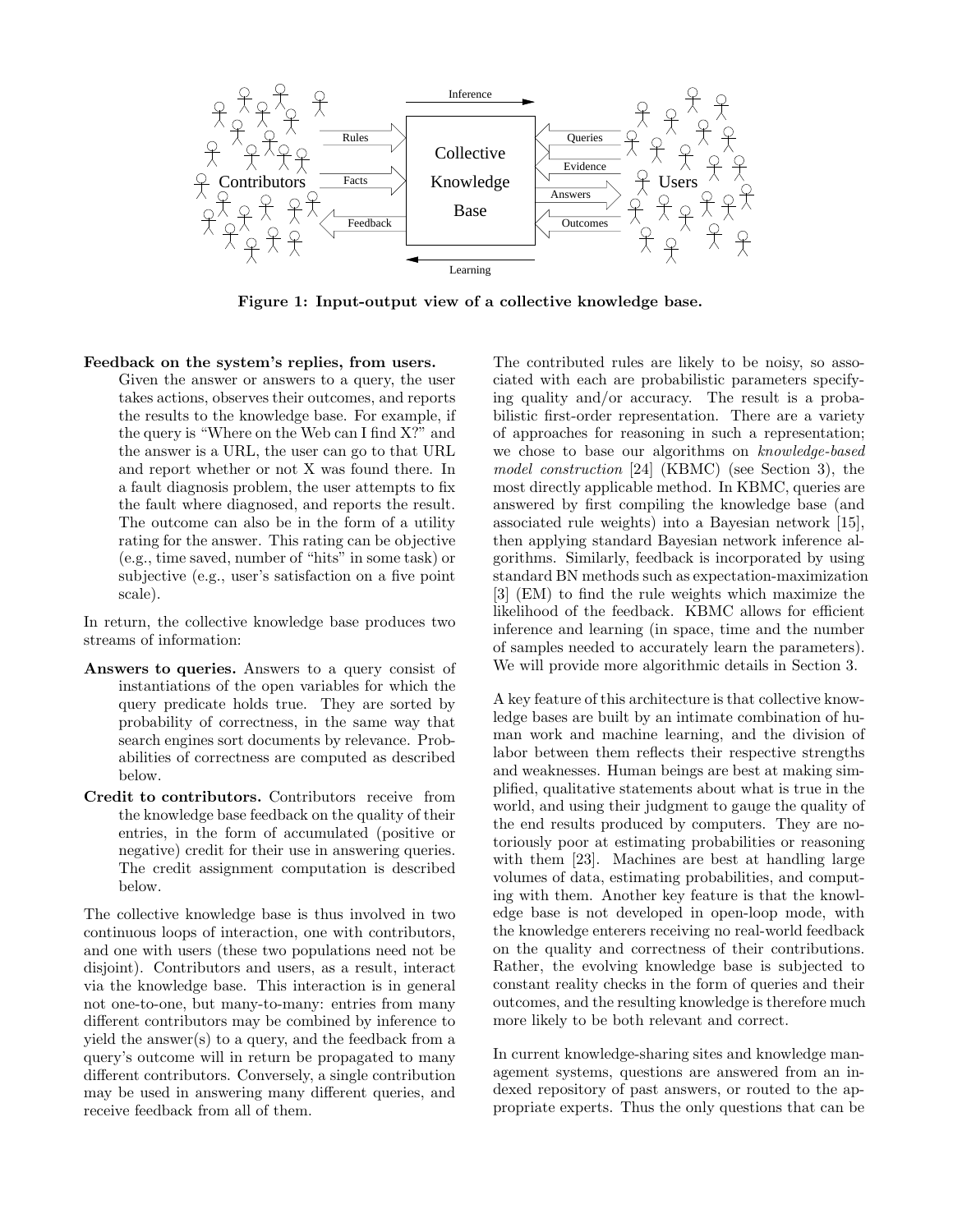

Figure 1: Input-output view of a collective knowledge base.

#### Feedback on the system's replies, from users.

Given the answer or answers to a query, the user takes actions, observes their outcomes, and reports the results to the knowledge base. For example, if the query is "Where on the Web can I find X?" and the answer is a URL, the user can go to that URL and report whether or not X was found there. In a fault diagnosis problem, the user attempts to fix the fault where diagnosed, and reports the result. The outcome can also be in the form of a utility rating for the answer. This rating can be objective (e.g., time saved, number of "hits" in some task) or subjective (e.g., user's satisfaction on a five point scale).

In return, the collective knowledge base produces two streams of information:

- Answers to queries. Answers to a query consist of instantiations of the open variables for which the query predicate holds true. They are sorted by probability of correctness, in the same way that search engines sort documents by relevance. Probabilities of correctness are computed as described below.
- Credit to contributors. Contributors receive from the knowledge base feedback on the quality of their entries, in the form of accumulated (positive or negative) credit for their use in answering queries. The credit assignment computation is described below.

The collective knowledge base is thus involved in two continuous loops of interaction, one with contributors, and one with users (these two populations need not be disjoint). Contributors and users, as a result, interact via the knowledge base. This interaction is in general not one-to-one, but many-to-many: entries from many different contributors may be combined by inference to yield the answer(s) to a query, and the feedback from a query's outcome will in return be propagated to many different contributors. Conversely, a single contribution may be used in answering many different queries, and receive feedback from all of them.

The contributed rules are likely to be noisy, so associated with each are probabilistic parameters specifying quality and/or accuracy. The result is a probabilistic first-order representation. There are a variety of approaches for reasoning in such a representation; we chose to base our algorithms on knowledge-based model construction [24] (KBMC) (see Section 3), the most directly applicable method. In KBMC, queries are answered by first compiling the knowledge base (and associated rule weights) into a Bayesian network [15], then applying standard Bayesian network inference algorithms. Similarly, feedback is incorporated by using standard BN methods such as expectation-maximization [3] (EM) to find the rule weights which maximize the likelihood of the feedback. KBMC allows for efficient inference and learning (in space, time and the number of samples needed to accurately learn the parameters). We will provide more algorithmic details in Section 3.

A key feature of this architecture is that collective knowledge bases are built by an intimate combination of human work and machine learning, and the division of labor between them reflects their respective strengths and weaknesses. Human beings are best at making simplified, qualitative statements about what is true in the world, and using their judgment to gauge the quality of the end results produced by computers. They are notoriously poor at estimating probabilities or reasoning with them [23]. Machines are best at handling large volumes of data, estimating probabilities, and computing with them. Another key feature is that the knowledge base is not developed in open-loop mode, with the knowledge enterers receiving no real-world feedback on the quality and correctness of their contributions. Rather, the evolving knowledge base is subjected to constant reality checks in the form of queries and their outcomes, and the resulting knowledge is therefore much more likely to be both relevant and correct.

In current knowledge-sharing sites and knowledge management systems, questions are answered from an indexed repository of past answers, or routed to the appropriate experts. Thus the only questions that can be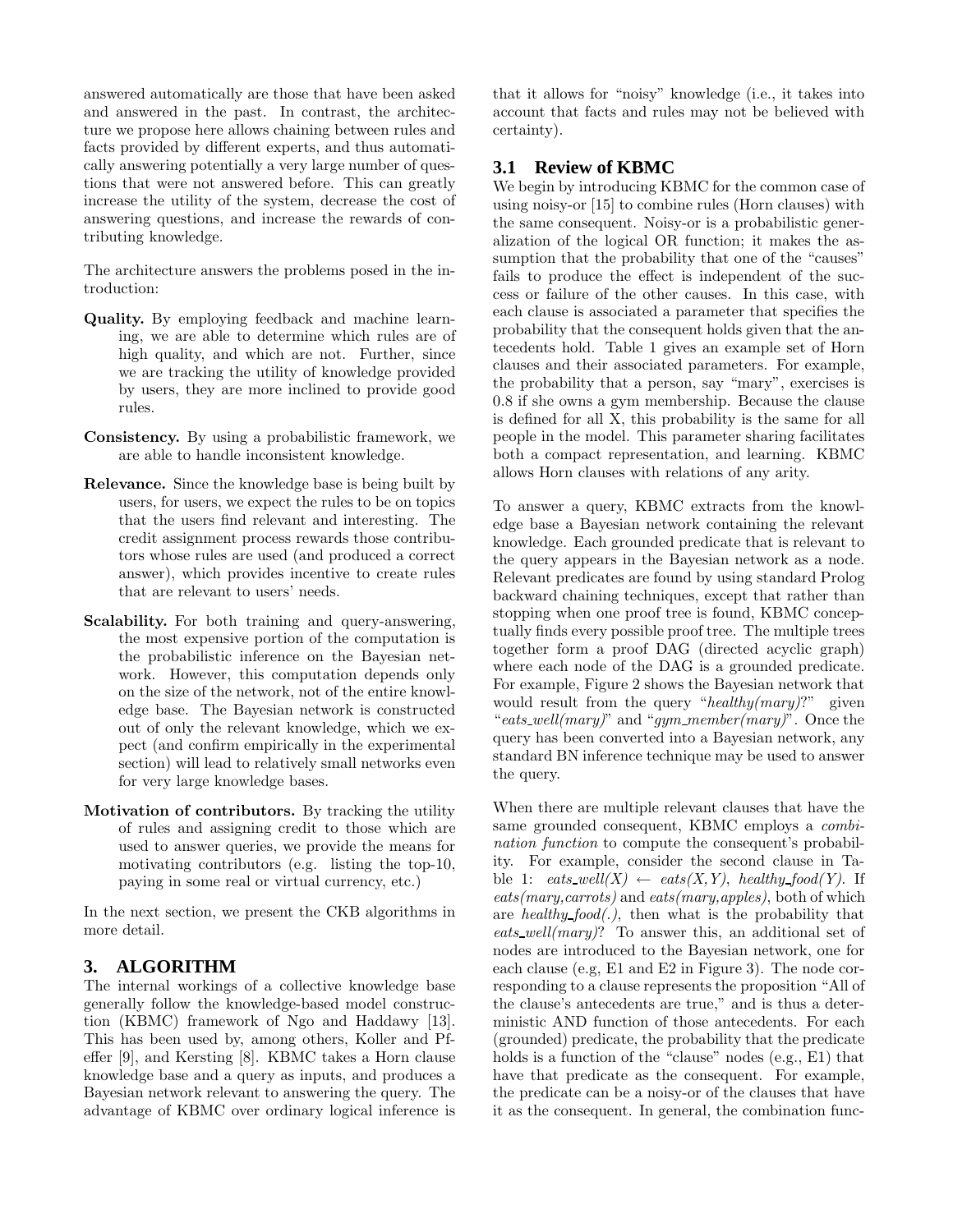answered automatically are those that have been asked and answered in the past. In contrast, the architecture we propose here allows chaining between rules and facts provided by different experts, and thus automatically answering potentially a very large number of questions that were not answered before. This can greatly increase the utility of the system, decrease the cost of answering questions, and increase the rewards of contributing knowledge.

The architecture answers the problems posed in the introduction:

- Quality. By employing feedback and machine learning, we are able to determine which rules are of high quality, and which are not. Further, since we are tracking the utility of knowledge provided by users, they are more inclined to provide good rules.
- Consistency. By using a probabilistic framework, we are able to handle inconsistent knowledge.
- Relevance. Since the knowledge base is being built by users, for users, we expect the rules to be on topics that the users find relevant and interesting. The credit assignment process rewards those contributors whose rules are used (and produced a correct answer), which provides incentive to create rules that are relevant to users' needs.
- Scalability. For both training and query-answering, the most expensive portion of the computation is the probabilistic inference on the Bayesian network. However, this computation depends only on the size of the network, not of the entire knowledge base. The Bayesian network is constructed out of only the relevant knowledge, which we expect (and confirm empirically in the experimental section) will lead to relatively small networks even for very large knowledge bases.
- Motivation of contributors. By tracking the utility of rules and assigning credit to those which are used to answer queries, we provide the means for motivating contributors (e.g. listing the top-10, paying in some real or virtual currency, etc.)

In the next section, we present the CKB algorithms in more detail.

# **3. ALGORITHM**

The internal workings of a collective knowledge base generally follow the knowledge-based model construction (KBMC) framework of Ngo and Haddawy [13]. This has been used by, among others, Koller and Pfeffer [9], and Kersting [8]. KBMC takes a Horn clause knowledge base and a query as inputs, and produces a Bayesian network relevant to answering the query. The advantage of KBMC over ordinary logical inference is

that it allows for "noisy" knowledge (i.e., it takes into account that facts and rules may not be believed with certainty).

# **3.1 Review of KBMC**

We begin by introducing KBMC for the common case of using noisy-or [15] to combine rules (Horn clauses) with the same consequent. Noisy-or is a probabilistic generalization of the logical OR function; it makes the assumption that the probability that one of the "causes" fails to produce the effect is independent of the success or failure of the other causes. In this case, with each clause is associated a parameter that specifies the probability that the consequent holds given that the antecedents hold. Table 1 gives an example set of Horn clauses and their associated parameters. For example, the probability that a person, say "mary", exercises is 0.8 if she owns a gym membership. Because the clause is defined for all X, this probability is the same for all people in the model. This parameter sharing facilitates both a compact representation, and learning. KBMC allows Horn clauses with relations of any arity.

To answer a query, KBMC extracts from the knowledge base a Bayesian network containing the relevant knowledge. Each grounded predicate that is relevant to the query appears in the Bayesian network as a node. Relevant predicates are found by using standard Prolog backward chaining techniques, except that rather than stopping when one proof tree is found, KBMC conceptually finds every possible proof tree. The multiple trees together form a proof DAG (directed acyclic graph) where each node of the DAG is a grounded predicate. For example, Figure 2 shows the Bayesian network that would result from the query "healthy(mary)?" given "eats\_well(mary)" and "gym\_member(mary)". Once the query has been converted into a Bayesian network, any standard BN inference technique may be used to answer the query.

When there are multiple relevant clauses that have the same grounded consequent, KBMC employs a combination function to compute the consequent's probability. For example, consider the second clause in Table 1:  $eats\_well(X) \leftarrow eats(X, Y)$ , healthy-food(Y). If eats(mary,carrots) and eats(mary,apples), both of which are healthy- $food(.)$ , then what is the probability that eats well(mary)? To answer this, an additional set of nodes are introduced to the Bayesian network, one for each clause (e.g, E1 and E2 in Figure 3). The node corresponding to a clause represents the proposition "All of the clause's antecedents are true," and is thus a deterministic AND function of those antecedents. For each (grounded) predicate, the probability that the predicate holds is a function of the "clause" nodes (e.g., E1) that have that predicate as the consequent. For example, the predicate can be a noisy-or of the clauses that have it as the consequent. In general, the combination func-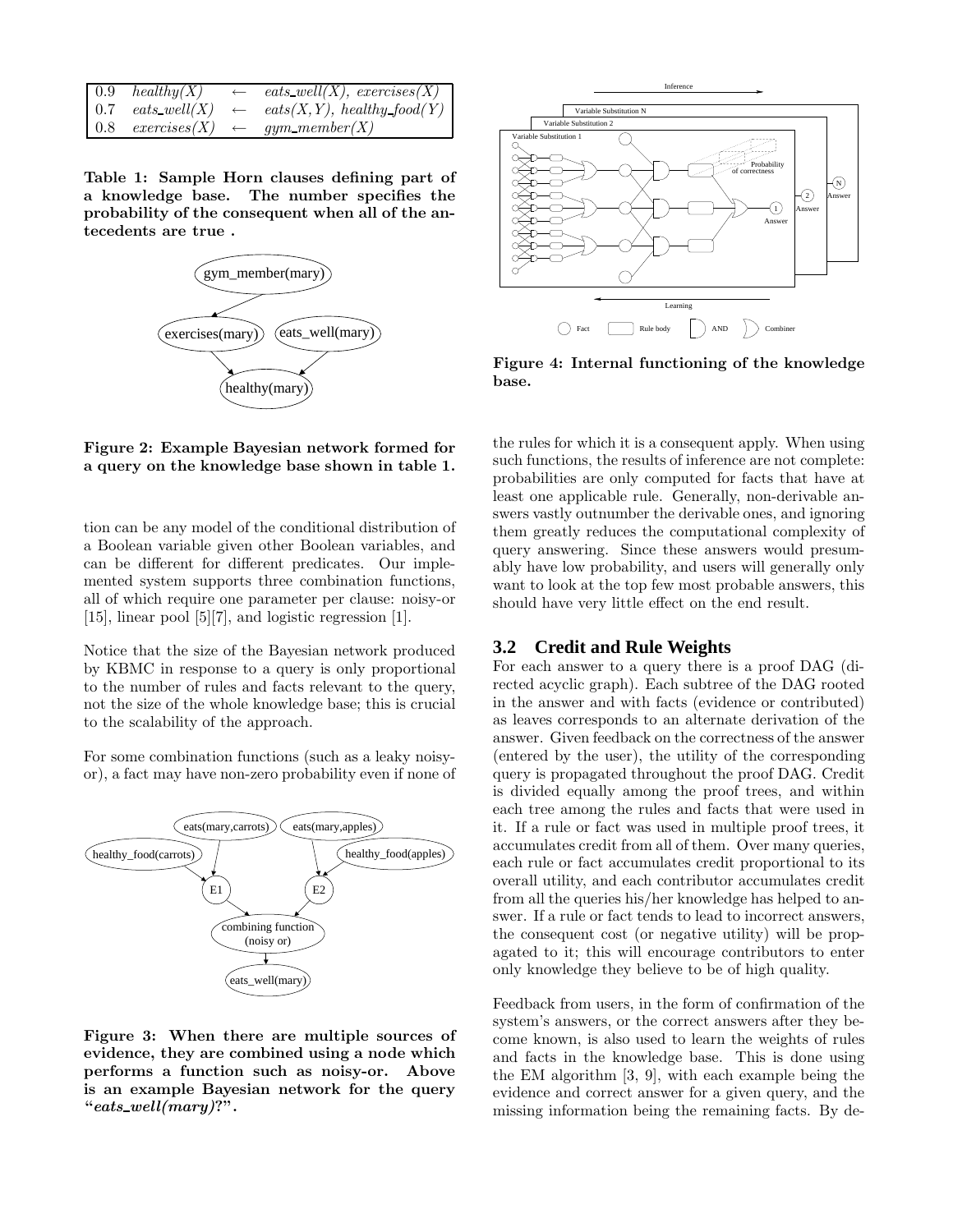| $\pm 0.9$ | $\text{ healthy}(X)$     | $\leftarrow$ | $eats_well(X),$ exercises $(X)$ |
|-----------|--------------------------|--------------|---------------------------------|
| 0.7       | $\mathit{eats\_well}(X)$ | $\leftarrow$ | $eats(X, Y)$ , healthy_food(Y)  |
| 0.8       | exercises(X)             | $\leftarrow$ | $gym\_member(X)$                |

Table 1: Sample Horn clauses defining part of a knowledge base. The number specifies the probability of the consequent when all of the antecedents are true .



Figure 2: Example Bayesian network formed for a query on the knowledge base shown in table 1.

tion can be any model of the conditional distribution of a Boolean variable given other Boolean variables, and can be different for different predicates. Our implemented system supports three combination functions, all of which require one parameter per clause: noisy-or [15], linear pool [5][7], and logistic regression [1].

Notice that the size of the Bayesian network produced by KBMC in response to a query is only proportional to the number of rules and facts relevant to the query, not the size of the whole knowledge base; this is crucial to the scalability of the approach.

For some combination functions (such as a leaky noisyor), a fact may have non-zero probability even if none of



Figure 3: When there are multiple sources of evidence, they are combined using a node which performs a function such as noisy-or. Above is an example Bayesian network for the query "eats well(mary)?".



Figure 4: Internal functioning of the knowledge base.

the rules for which it is a consequent apply. When using such functions, the results of inference are not complete: probabilities are only computed for facts that have at least one applicable rule. Generally, non-derivable answers vastly outnumber the derivable ones, and ignoring them greatly reduces the computational complexity of query answering. Since these answers would presumably have low probability, and users will generally only want to look at the top few most probable answers, this should have very little effect on the end result.

#### **3.2 Credit and Rule Weights**

For each answer to a query there is a proof DAG (directed acyclic graph). Each subtree of the DAG rooted in the answer and with facts (evidence or contributed) as leaves corresponds to an alternate derivation of the answer. Given feedback on the correctness of the answer (entered by the user), the utility of the corresponding query is propagated throughout the proof DAG. Credit is divided equally among the proof trees, and within each tree among the rules and facts that were used in it. If a rule or fact was used in multiple proof trees, it accumulates credit from all of them. Over many queries, each rule or fact accumulates credit proportional to its overall utility, and each contributor accumulates credit from all the queries his/her knowledge has helped to answer. If a rule or fact tends to lead to incorrect answers, the consequent cost (or negative utility) will be propagated to it; this will encourage contributors to enter only knowledge they believe to be of high quality.

Feedback from users, in the form of confirmation of the system's answers, or the correct answers after they become known, is also used to learn the weights of rules and facts in the knowledge base. This is done using the EM algorithm [3, 9], with each example being the evidence and correct answer for a given query, and the missing information being the remaining facts. By de-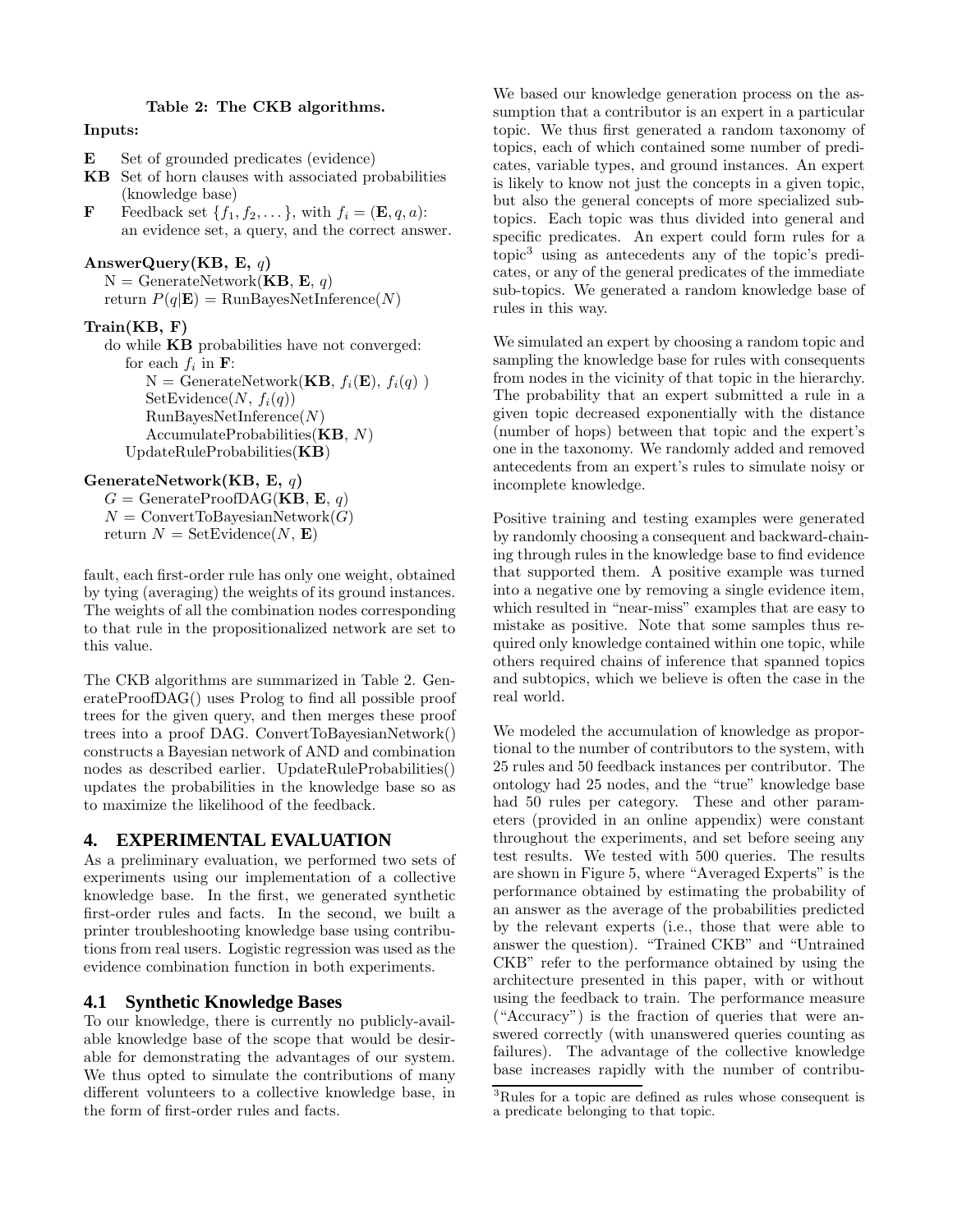#### Table 2: The CKB algorithms.

#### Inputs:

- E Set of grounded predicates (evidence)
- KB Set of horn clauses with associated probabilities (knowledge base)
- **F** Feedback set  $\{f_1, f_2, \dots\}$ , with  $f_i = (\mathbf{E}, q, a)$ : an evidence set, a query, and the correct answer.

#### AnswerQuery(KB, E, q)

 $N =$  GenerateNetwork(**KB**, **E**, *q*) return  $P(q|\mathbf{E}) = \text{RunBayesNetInference}(N)$ 

#### Train(KB, F)

do while KB probabilities have not converged: for each  $f_i$  in **F**:  $N =$  GenerateNetwork(**KB**,  $f_i(\mathbf{E})$ ,  $f_i(q)$ )  $SetEvidence(N, f_i(q))$  $RunBayesNetInference(N)$ AccumulateProbabilities( $KB, N$ ) UpdateRuleProbabilities(KB)

### GenerateNetwork(KB, E, q)

 $G = \text{GenerateProofDAG}(\mathbf{KB}, \mathbf{E}, q)$  $N =$  ConvertToBayesianNetwork $(G)$ return  $N = \text{SetEvidence}(N, \mathbf{E})$ 

fault, each first-order rule has only one weight, obtained by tying (averaging) the weights of its ground instances. The weights of all the combination nodes corresponding to that rule in the propositionalized network are set to this value.

The CKB algorithms are summarized in Table 2. GenerateProofDAG() uses Prolog to find all possible proof trees for the given query, and then merges these proof trees into a proof DAG. ConvertToBayesianNetwork() constructs a Bayesian network of AND and combination nodes as described earlier. UpdateRuleProbabilities() updates the probabilities in the knowledge base so as to maximize the likelihood of the feedback.

# **4. EXPERIMENTAL EVALUATION**

As a preliminary evaluation, we performed two sets of experiments using our implementation of a collective knowledge base. In the first, we generated synthetic first-order rules and facts. In the second, we built a printer troubleshooting knowledge base using contributions from real users. Logistic regression was used as the evidence combination function in both experiments.

## **4.1 Synthetic Knowledge Bases**

To our knowledge, there is currently no publicly-available knowledge base of the scope that would be desirable for demonstrating the advantages of our system. We thus opted to simulate the contributions of many different volunteers to a collective knowledge base, in the form of first-order rules and facts.

We based our knowledge generation process on the assumption that a contributor is an expert in a particular topic. We thus first generated a random taxonomy of topics, each of which contained some number of predicates, variable types, and ground instances. An expert is likely to know not just the concepts in a given topic, but also the general concepts of more specialized subtopics. Each topic was thus divided into general and specific predicates. An expert could form rules for a topic<sup>3</sup> using as antecedents any of the topic's predicates, or any of the general predicates of the immediate sub-topics. We generated a random knowledge base of rules in this way.

We simulated an expert by choosing a random topic and sampling the knowledge base for rules with consequents from nodes in the vicinity of that topic in the hierarchy. The probability that an expert submitted a rule in a given topic decreased exponentially with the distance (number of hops) between that topic and the expert's one in the taxonomy. We randomly added and removed antecedents from an expert's rules to simulate noisy or incomplete knowledge.

Positive training and testing examples were generated by randomly choosing a consequent and backward-chaining through rules in the knowledge base to find evidence that supported them. A positive example was turned into a negative one by removing a single evidence item, which resulted in "near-miss" examples that are easy to mistake as positive. Note that some samples thus required only knowledge contained within one topic, while others required chains of inference that spanned topics and subtopics, which we believe is often the case in the real world.

We modeled the accumulation of knowledge as proportional to the number of contributors to the system, with 25 rules and 50 feedback instances per contributor. The ontology had 25 nodes, and the "true" knowledge base had 50 rules per category. These and other parameters (provided in an online appendix) were constant throughout the experiments, and set before seeing any test results. We tested with 500 queries. The results are shown in Figure 5, where "Averaged Experts" is the performance obtained by estimating the probability of an answer as the average of the probabilities predicted by the relevant experts (i.e., those that were able to answer the question). "Trained CKB" and "Untrained CKB" refer to the performance obtained by using the architecture presented in this paper, with or without using the feedback to train. The performance measure ("Accuracy") is the fraction of queries that were answered correctly (with unanswered queries counting as failures). The advantage of the collective knowledge base increases rapidly with the number of contribu-

<sup>3</sup>Rules for a topic are defined as rules whose consequent is a predicate belonging to that topic.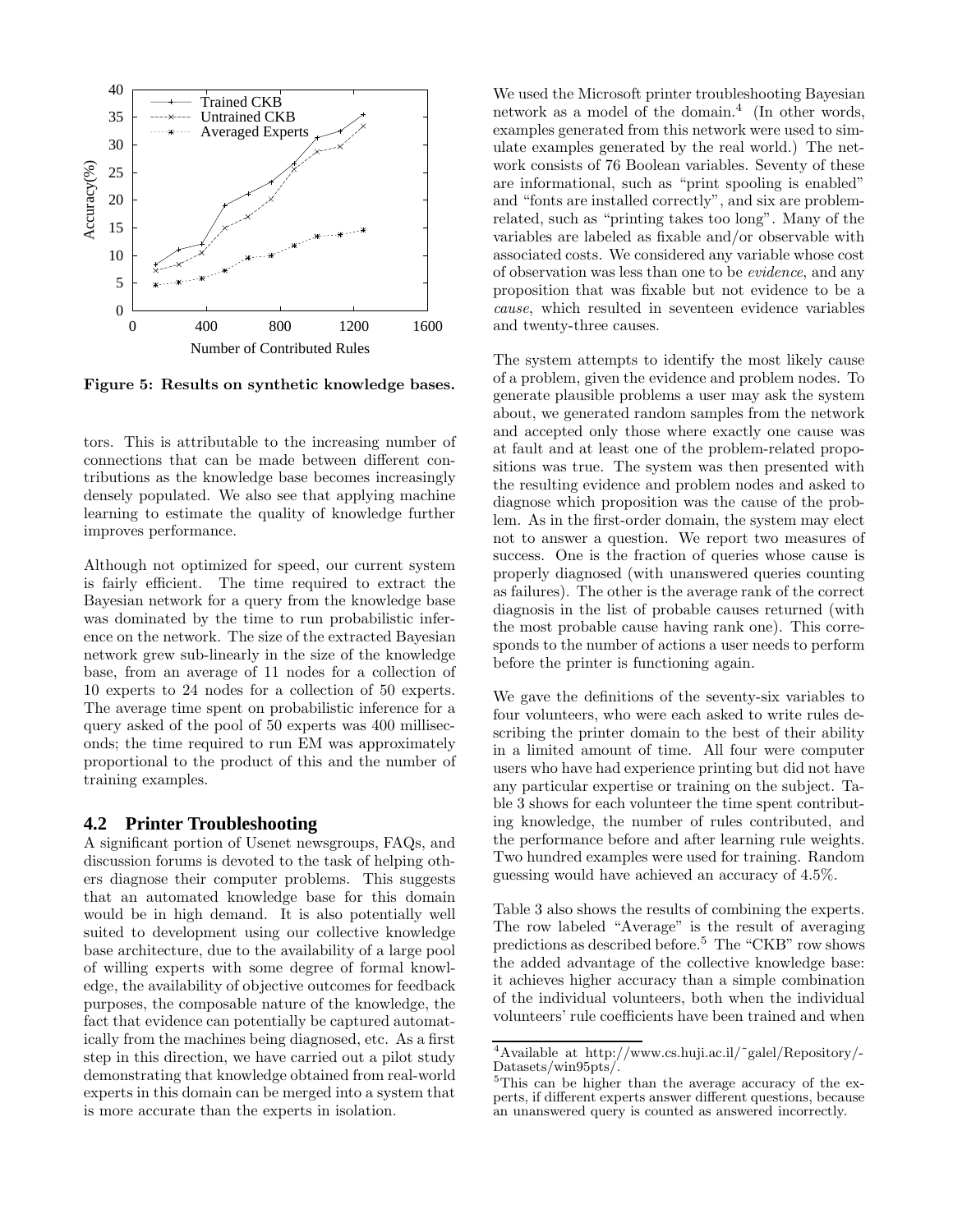

Figure 5: Results on synthetic knowledge bases.

tors. This is attributable to the increasing number of connections that can be made between different contributions as the knowledge base becomes increasingly densely populated. We also see that applying machine learning to estimate the quality of knowledge further improves performance.

Although not optimized for speed, our current system is fairly efficient. The time required to extract the Bayesian network for a query from the knowledge base was dominated by the time to run probabilistic inference on the network. The size of the extracted Bayesian network grew sub-linearly in the size of the knowledge base, from an average of 11 nodes for a collection of 10 experts to 24 nodes for a collection of 50 experts. The average time spent on probabilistic inference for a query asked of the pool of 50 experts was 400 milliseconds; the time required to run EM was approximately proportional to the product of this and the number of training examples.

#### **4.2 Printer Troubleshooting**

A significant portion of Usenet newsgroups, FAQs, and discussion forums is devoted to the task of helping others diagnose their computer problems. This suggests that an automated knowledge base for this domain would be in high demand. It is also potentially well suited to development using our collective knowledge base architecture, due to the availability of a large pool of willing experts with some degree of formal knowledge, the availability of objective outcomes for feedback purposes, the composable nature of the knowledge, the fact that evidence can potentially be captured automatically from the machines being diagnosed, etc. As a first step in this direction, we have carried out a pilot study demonstrating that knowledge obtained from real-world experts in this domain can be merged into a system that is more accurate than the experts in isolation.

We used the Microsoft printer troubleshooting Bayesian network as a model of the domain.<sup>4</sup> (In other words, examples generated from this network were used to simulate examples generated by the real world.) The network consists of 76 Boolean variables. Seventy of these are informational, such as "print spooling is enabled" and "fonts are installed correctly", and six are problemrelated, such as "printing takes too long". Many of the variables are labeled as fixable and/or observable with associated costs. We considered any variable whose cost of observation was less than one to be evidence, and any proposition that was fixable but not evidence to be a cause, which resulted in seventeen evidence variables and twenty-three causes.

The system attempts to identify the most likely cause of a problem, given the evidence and problem nodes. To generate plausible problems a user may ask the system about, we generated random samples from the network and accepted only those where exactly one cause was at fault and at least one of the problem-related propositions was true. The system was then presented with the resulting evidence and problem nodes and asked to diagnose which proposition was the cause of the problem. As in the first-order domain, the system may elect not to answer a question. We report two measures of success. One is the fraction of queries whose cause is properly diagnosed (with unanswered queries counting as failures). The other is the average rank of the correct diagnosis in the list of probable causes returned (with the most probable cause having rank one). This corresponds to the number of actions a user needs to perform before the printer is functioning again.

We gave the definitions of the seventy-six variables to four volunteers, who were each asked to write rules describing the printer domain to the best of their ability in a limited amount of time. All four were computer users who have had experience printing but did not have any particular expertise or training on the subject. Table 3 shows for each volunteer the time spent contributing knowledge, the number of rules contributed, and the performance before and after learning rule weights. Two hundred examples were used for training. Random guessing would have achieved an accuracy of 4.5%.

Table 3 also shows the results of combining the experts. The row labeled "Average" is the result of averaging predictions as described before.<sup>5</sup> The "CKB" row shows the added advantage of the collective knowledge base: it achieves higher accuracy than a simple combination of the individual volunteers, both when the individual volunteers' rule coefficients have been trained and when

<sup>4</sup>Available at http://www.cs.huji.ac.il/˜galel/Repository/- Datasets/win95pts/.

<sup>5</sup>This can be higher than the average accuracy of the experts, if different experts answer different questions, because an unanswered query is counted as answered incorrectly.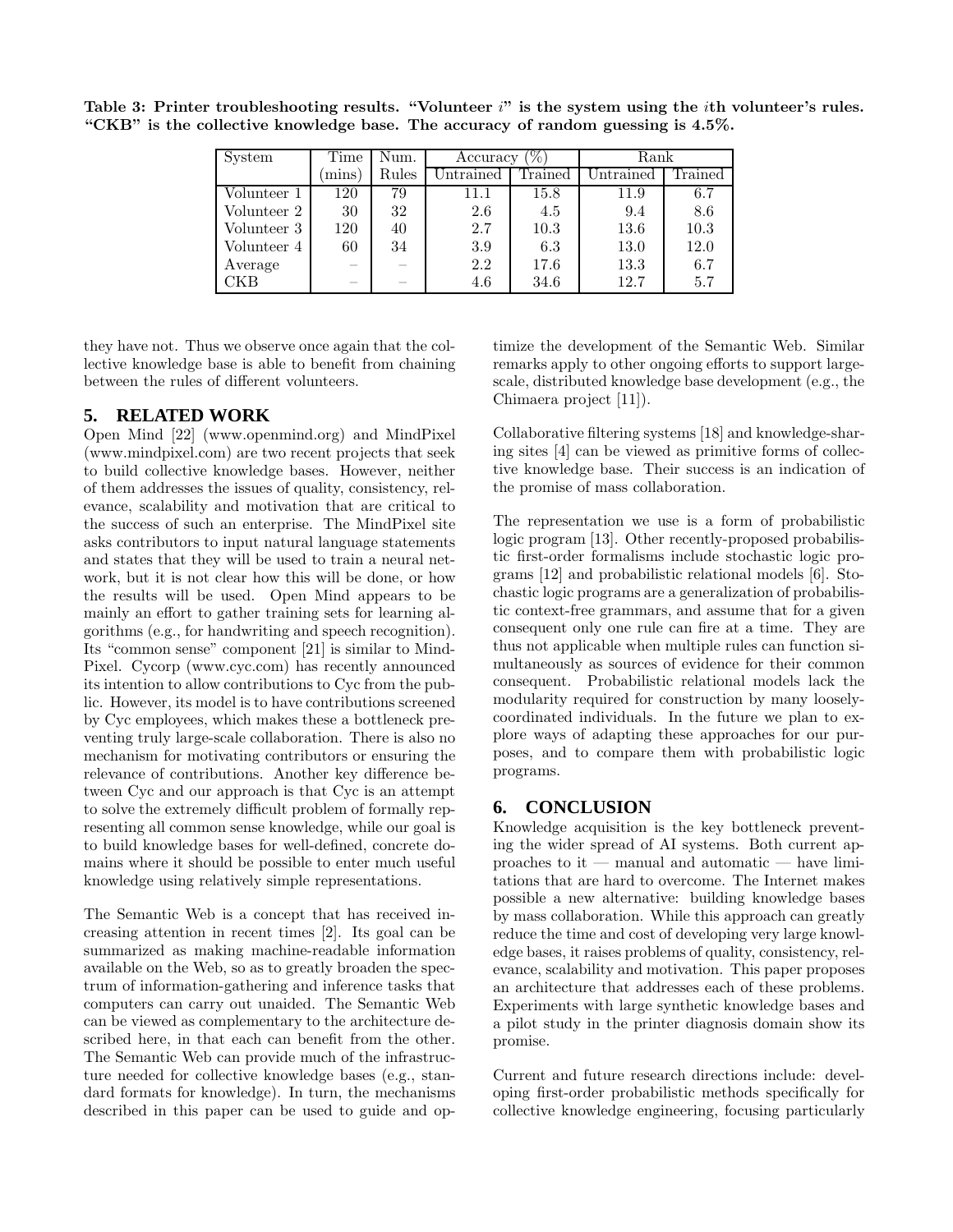Table 3: Printer troubleshooting results. "Volunteer  $i$ " is the system using the *i*th volunteer's rules. "CKB" is the collective knowledge base. The accuracy of random guessing is 4.5%.

| System      | Time                     | Num.                     | $\%$ .<br>Accuracy |                 | Rank                      |                 |
|-------------|--------------------------|--------------------------|--------------------|-----------------|---------------------------|-----------------|
|             | mins)                    | Rules                    | Untrained          | $\rm{Triangle}$ | $\sqrt{\text{Intrained}}$ | $\rm{Triangle}$ |
| Volunteer 1 | 120                      | 79                       | 11.1               | 15.8            | 11.9                      | 6.7             |
| Volunteer 2 | 30                       | 32                       | 2.6                | 4.5             | 9.4                       | 8.6             |
| Volunteer 3 | 120                      | 40                       | 2.7                | 10.3            | 13.6                      | 10.3            |
| Volunteer 4 | 60                       | 34                       | 3.9                | 6.3             | 13.0                      | 12.0            |
| Average     | $\overline{\phantom{a}}$ |                          | 2.2                | 17.6            | 13.3                      | 6.7             |
| CKB         | $\overline{\phantom{a}}$ | $\overline{\phantom{a}}$ | 4.6                | 34.6            | 12.7                      | 5.7             |

they have not. Thus we observe once again that the collective knowledge base is able to benefit from chaining between the rules of different volunteers.

# **5. RELATED WORK**

Open Mind [22] (www.openmind.org) and MindPixel (www.mindpixel.com) are two recent projects that seek to build collective knowledge bases. However, neither of them addresses the issues of quality, consistency, relevance, scalability and motivation that are critical to the success of such an enterprise. The MindPixel site asks contributors to input natural language statements and states that they will be used to train a neural network, but it is not clear how this will be done, or how the results will be used. Open Mind appears to be mainly an effort to gather training sets for learning algorithms (e.g., for handwriting and speech recognition). Its "common sense" component [21] is similar to Mind-Pixel. Cycorp (www.cyc.com) has recently announced its intention to allow contributions to Cyc from the public. However, its model is to have contributions screened by Cyc employees, which makes these a bottleneck preventing truly large-scale collaboration. There is also no mechanism for motivating contributors or ensuring the relevance of contributions. Another key difference between Cyc and our approach is that Cyc is an attempt to solve the extremely difficult problem of formally representing all common sense knowledge, while our goal is to build knowledge bases for well-defined, concrete domains where it should be possible to enter much useful knowledge using relatively simple representations.

The Semantic Web is a concept that has received increasing attention in recent times [2]. Its goal can be summarized as making machine-readable information available on the Web, so as to greatly broaden the spectrum of information-gathering and inference tasks that computers can carry out unaided. The Semantic Web can be viewed as complementary to the architecture described here, in that each can benefit from the other. The Semantic Web can provide much of the infrastructure needed for collective knowledge bases (e.g., standard formats for knowledge). In turn, the mechanisms described in this paper can be used to guide and optimize the development of the Semantic Web. Similar remarks apply to other ongoing efforts to support largescale, distributed knowledge base development (e.g., the Chimaera project [11]).

Collaborative filtering systems [18] and knowledge-sharing sites [4] can be viewed as primitive forms of collective knowledge base. Their success is an indication of the promise of mass collaboration.

The representation we use is a form of probabilistic logic program [13]. Other recently-proposed probabilistic first-order formalisms include stochastic logic programs [12] and probabilistic relational models [6]. Stochastic logic programs are a generalization of probabilistic context-free grammars, and assume that for a given consequent only one rule can fire at a time. They are thus not applicable when multiple rules can function simultaneously as sources of evidence for their common consequent. Probabilistic relational models lack the modularity required for construction by many looselycoordinated individuals. In the future we plan to explore ways of adapting these approaches for our purposes, and to compare them with probabilistic logic programs.

# **6. CONCLUSION**

Knowledge acquisition is the key bottleneck preventing the wider spread of AI systems. Both current approaches to it — manual and automatic — have limitations that are hard to overcome. The Internet makes possible a new alternative: building knowledge bases by mass collaboration. While this approach can greatly reduce the time and cost of developing very large knowledge bases, it raises problems of quality, consistency, relevance, scalability and motivation. This paper proposes an architecture that addresses each of these problems. Experiments with large synthetic knowledge bases and a pilot study in the printer diagnosis domain show its promise.

Current and future research directions include: developing first-order probabilistic methods specifically for collective knowledge engineering, focusing particularly